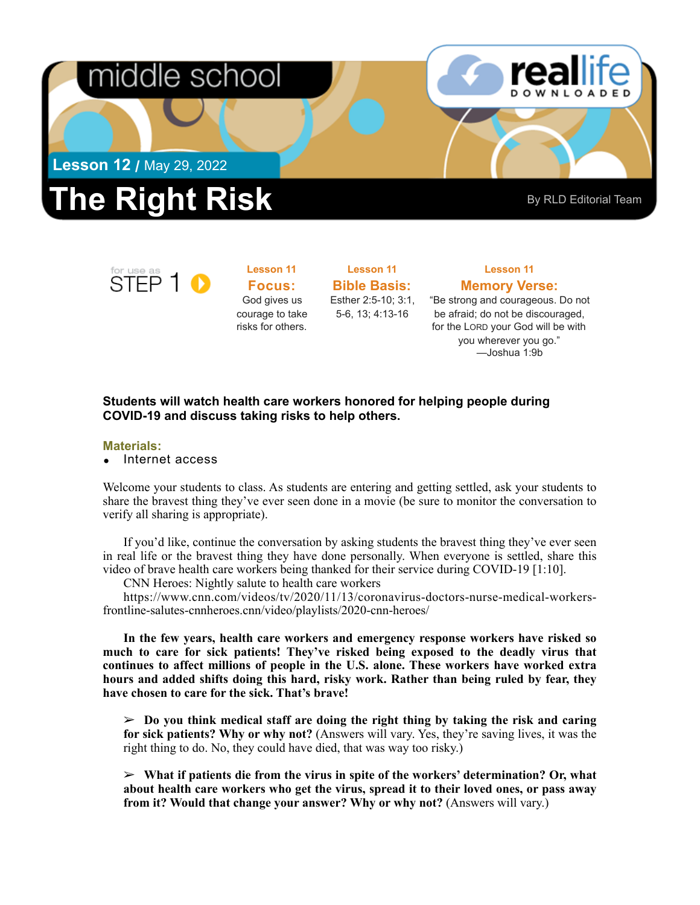

# **The Right Risk** By RLD Editorial Team

for use as<br>STEP 1

**Focus:**  God gives us courage to take risks for others.

**Lesson 11** 

**Bible Basis:** Esther 2:5-10; 3:1, 5-6, 13; 4:13-16

**Lesson 11** 

### **Lesson 11 Memory Verse:**

"Be strong and courageous. Do not be afraid; do not be discouraged, for the LORD your God will be with you wherever you go." —Joshua 1:9b

### **Students will watch health care workers honored for helping people during COVID-19 and discuss taking risks to help others.**

#### **Materials:**

• Internet access

Welcome your students to class. As students are entering and getting settled, ask your students to share the bravest thing they've ever seen done in a movie (be sure to monitor the conversation to verify all sharing is appropriate).

If you'd like, continue the conversation by asking students the bravest thing they've ever seen in real life or the bravest thing they have done personally. When everyone is settled, share this video of brave health care workers being thanked for their service during COVID-19 [1:10].

CNN Heroes: Nightly salute to health care workers

[https://www.cnn.com/videos/tv/2020/11/13/coronavirus-doctors-nurse-medical-workers](https://www.cnn.com/videos/tv/2020/11/13/coronavirus-doctors-nurse-medical-workers-frontline-salutes-cnnheroes.cnn/video/playlists/2020-cnn-heroes/)[frontline-salutes-cnnheroes.cnn/video/playlists/2020-cnn-heroes/](https://www.cnn.com/videos/tv/2020/11/13/coronavirus-doctors-nurse-medical-workers-frontline-salutes-cnnheroes.cnn/video/playlists/2020-cnn-heroes/) 

**In the few years, health care workers and emergency response workers have risked so much to care for sick patients! They've risked being exposed to the deadly virus that continues to affect millions of people in the U.S. alone. These workers have worked extra hours and added shifts doing this hard, risky work. Rather than being ruled by fear, they have chosen to care for the sick. That's brave!** 

 $\geq$  Do you think medical staff are doing the right thing by taking the risk and caring **for sick patients? Why or why not?** (Answers will vary. Yes, they're saving lives, it was the right thing to do. No, they could have died, that was way too risky.)

➢ **What if patients die from the virus in spite of the workers' determination? Or, what about health care workers who get the virus, spread it to their loved ones, or pass away from it? Would that change your answer? Why or why not?** (Answers will vary.)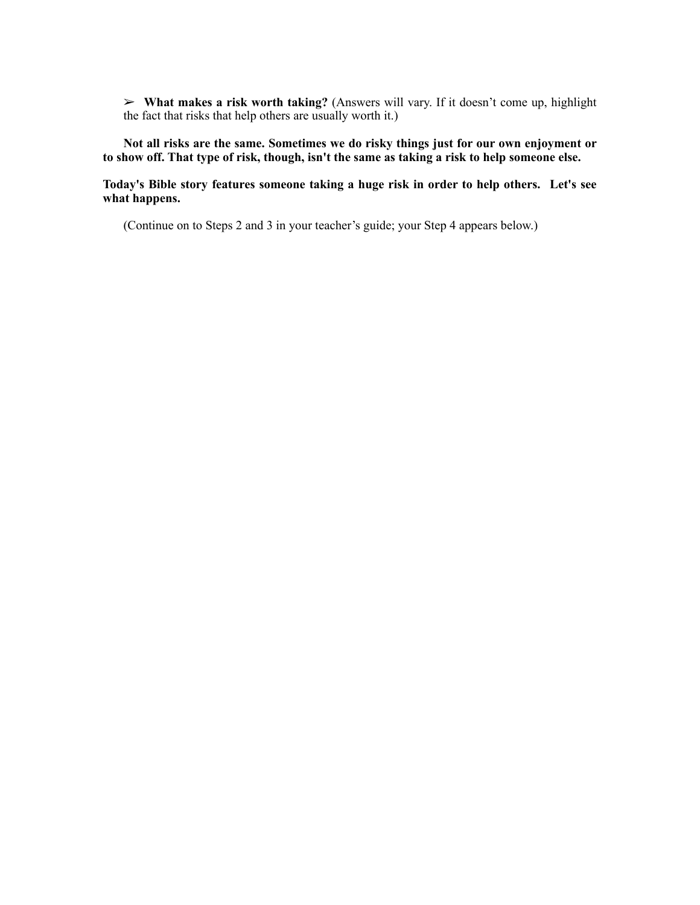➢ **What makes a risk worth taking?** (Answers will vary. If it doesn't come up, highlight the fact that risks that help others are usually worth it.)

**Not all risks are the same. Sometimes we do risky things just for our own enjoyment or to show off. That type of risk, though, isn't the same as taking a risk to help someone else.** 

**Today's Bible story features someone taking a huge risk in order to help others. Let's see what happens.** 

(Continue on to Steps 2 and 3 in your teacher's guide; your Step 4 appears below.)